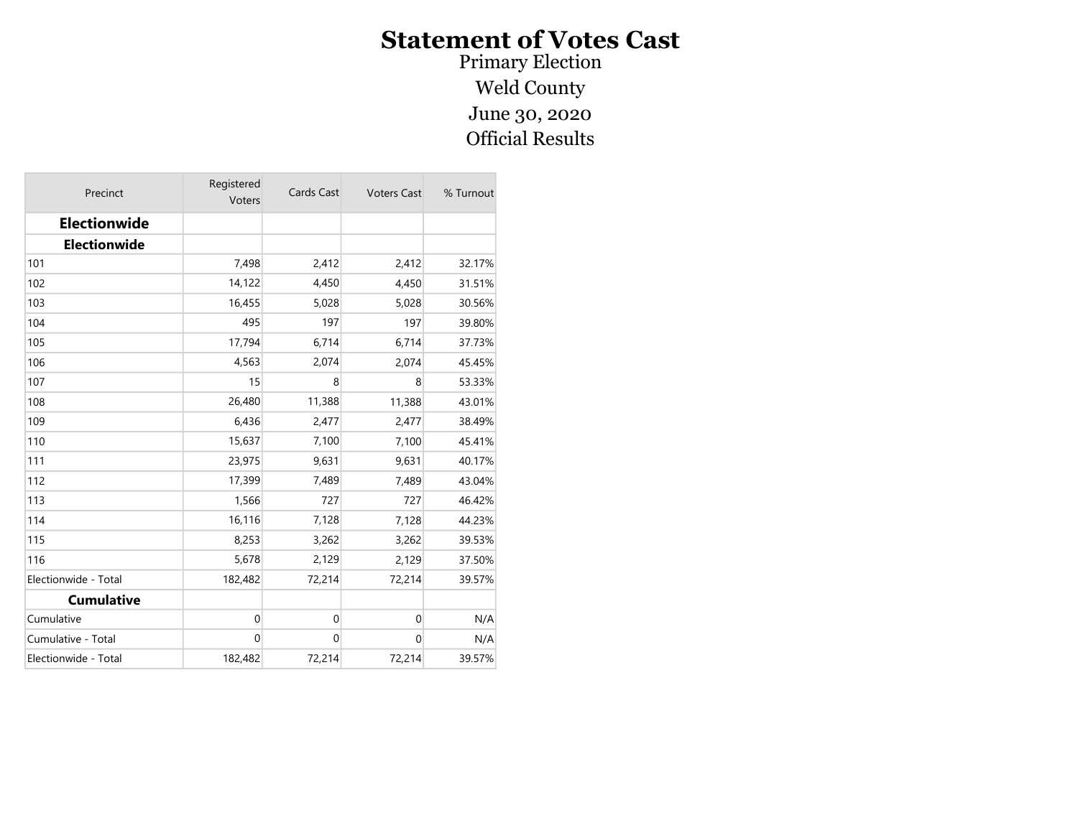Primary Election Weld County June 30, 2020 Official Results

| Precinct             | Registered<br>Voters | Cards Cast  | <b>Voters Cast</b> | % Turnout |
|----------------------|----------------------|-------------|--------------------|-----------|
| <b>Electionwide</b>  |                      |             |                    |           |
| <b>Electionwide</b>  |                      |             |                    |           |
| 101                  | 7,498                | 2,412       | 2,412              | 32.17%    |
| 102                  | 14,122               | 4,450       | 4,450              | 31.51%    |
| 103                  | 16,455               | 5,028       | 5,028              | 30.56%    |
| 104                  | 495                  | 197         | 197                | 39.80%    |
| 105                  | 17,794               | 6,714       | 6,714              | 37.73%    |
| 106                  | 4,563                | 2,074       | 2,074              | 45.45%    |
| 107                  | 15                   | 8           | 8                  | 53.33%    |
| 108                  | 26,480               | 11,388      | 11,388             | 43.01%    |
| 109                  | 6,436                | 2,477       | 2,477              | 38.49%    |
| 110                  | 15,637               | 7,100       | 7,100              | 45.41%    |
| 111                  | 23,975               | 9,631       | 9,631              | 40.17%    |
| 112                  | 17,399               | 7,489       | 7,489              | 43.04%    |
| 113                  | 1,566                | 727         | 727                | 46.42%    |
| 114                  | 16,116               | 7,128       | 7,128              | 44.23%    |
| 115                  | 8,253                | 3,262       | 3,262              | 39.53%    |
| 116                  | 5,678                | 2,129       | 2,129              | 37.50%    |
| Electionwide - Total | 182,482              | 72,214      | 72,214             | 39.57%    |
| <b>Cumulative</b>    |                      |             |                    |           |
| Cumulative           | 0                    | $\mathbf 0$ | $\mathbf 0$        | N/A       |
| Cumulative - Total   | $\mathbf 0$          | $\mathbf 0$ | $\mathbf 0$        | N/A       |
| Electionwide - Total | 182,482              | 72,214      | 72,214             | 39.57%    |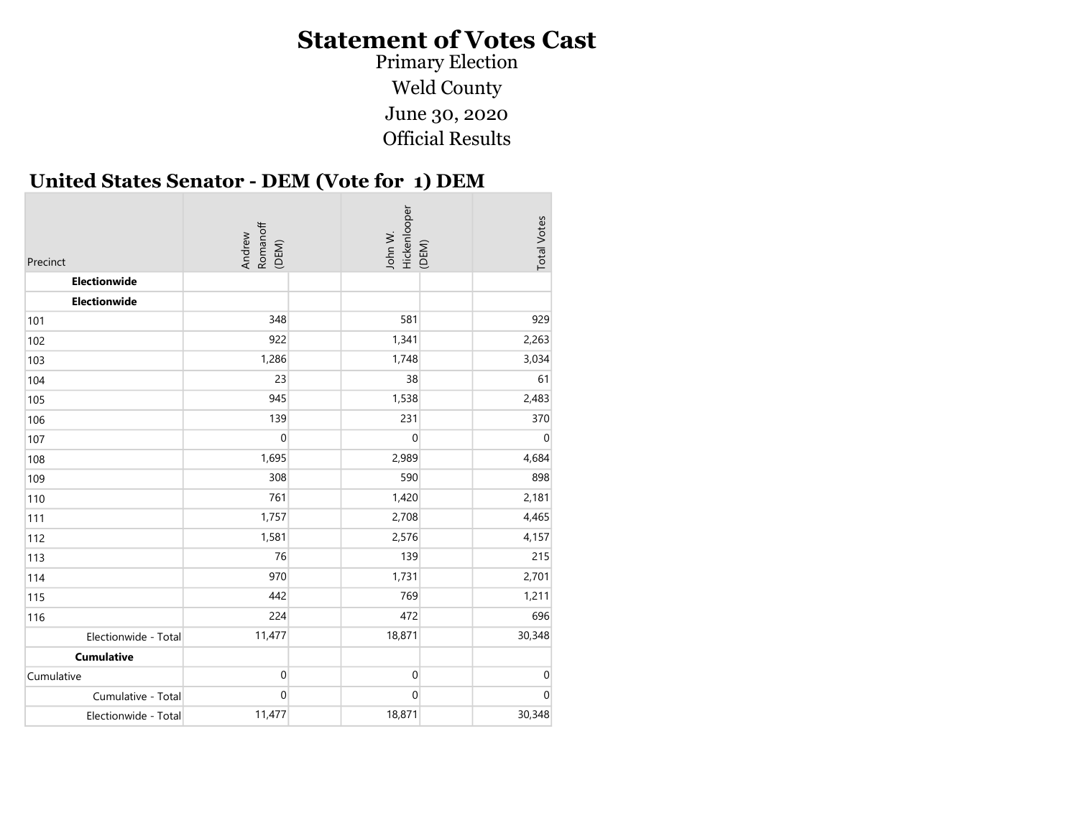Weld County June 30, 2020 Official Results Primary Election

#### United States Senator - DEM (Vote for 1) DEM

| Precinct             | Romanoff<br>(DEM)<br>Andrew | Hickenlooper<br>John W.<br>(DEM) | <b>Total Votes</b> |
|----------------------|-----------------------------|----------------------------------|--------------------|
| Electionwide         |                             |                                  |                    |
| Electionwide         |                             |                                  |                    |
| 101                  | 348                         | 581                              | 929                |
| 102                  | 922                         | 1,341                            | 2,263              |
| 103                  | 1,286                       | 1,748                            | 3,034              |
| 104                  | 23                          | 38                               | 61                 |
| 105                  | 945                         | 1,538                            | 2,483              |
| 106                  | 139                         | 231                              | 370                |
| 107                  | $\boldsymbol{0}$            | $\boldsymbol{0}$                 | $\mathbf 0$        |
| 108                  | 1,695                       | 2,989                            | 4,684              |
| 109                  | 308                         | 590                              | 898                |
| 110                  | 761                         | 1,420                            | 2,181              |
| 111                  | 1,757                       | 2,708                            | 4,465              |
| 112                  | 1,581                       | 2,576                            | 4,157              |
| 113                  | 76                          | 139                              | 215                |
| 114                  | 970                         | 1,731                            | 2,701              |
| 115                  | 442                         | 769                              | 1,211              |
| 116                  | 224                         | 472                              | 696                |
| Electionwide - Total | 11,477                      | 18,871                           | 30,348             |
| <b>Cumulative</b>    |                             |                                  |                    |
| Cumulative           | $\boldsymbol{0}$            | $\mathbf 0$                      | $\mathbf 0$        |
| Cumulative - Total   | $\boldsymbol{0}$            | 0                                | $\mathbf 0$        |
| Electionwide - Total | 11,477                      | 18,871                           | 30,348             |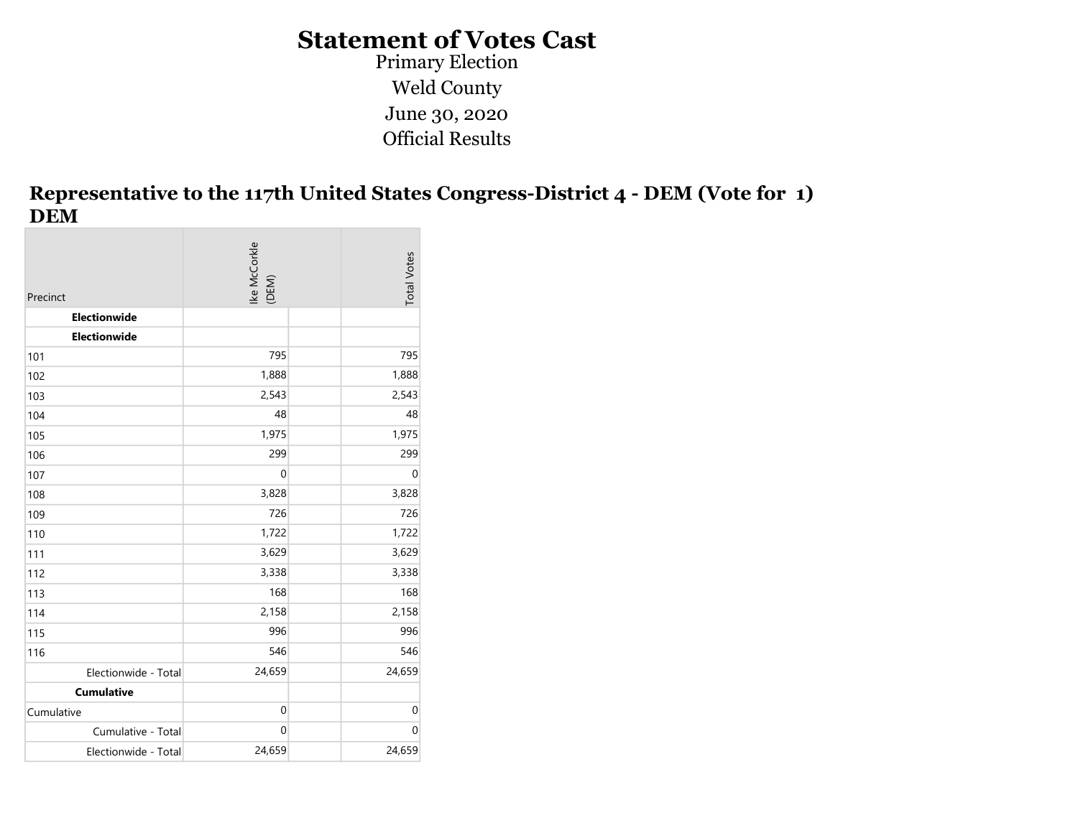Weld County June 30, 2020 Official Results Primary Election

#### Representative to the 117th United States Congress-District 4 - DEM (Vote for 1) DEM

| Precinct             | Ike McCorkle<br>(DEM) | <b>Total Votes</b> |
|----------------------|-----------------------|--------------------|
| Electionwide         |                       |                    |
| Electionwide         |                       |                    |
| 101                  | 795                   | 795                |
| 102                  | 1,888                 | 1,888              |
| 103                  | 2,543                 | 2,543              |
| 104                  | 48                    | 48                 |
| 105                  | 1,975                 | 1,975              |
| 106                  | 299                   | 299                |
| 107                  | $\mathbf 0$           | $\pmb{0}$          |
| 108                  | 3,828                 | 3,828              |
| 109                  | 726                   | 726                |
| 110                  | 1,722                 | 1,722              |
| 111                  | 3,629                 | 3,629              |
| 112                  | 3,338                 | 3,338              |
| 113                  | 168                   | 168                |
| 114                  | 2,158                 | 2,158              |
| 115                  | 996                   | 996                |
| 116                  | 546                   | 546                |
| Electionwide - Total | 24,659                | 24,659             |
| <b>Cumulative</b>    |                       |                    |
| Cumulative           | $\boldsymbol{0}$      | $\mathbf 0$        |
| Cumulative - Total   | $\boldsymbol{0}$      | $\mathbf 0$        |
| Electionwide - Total | 24,659                | 24,659             |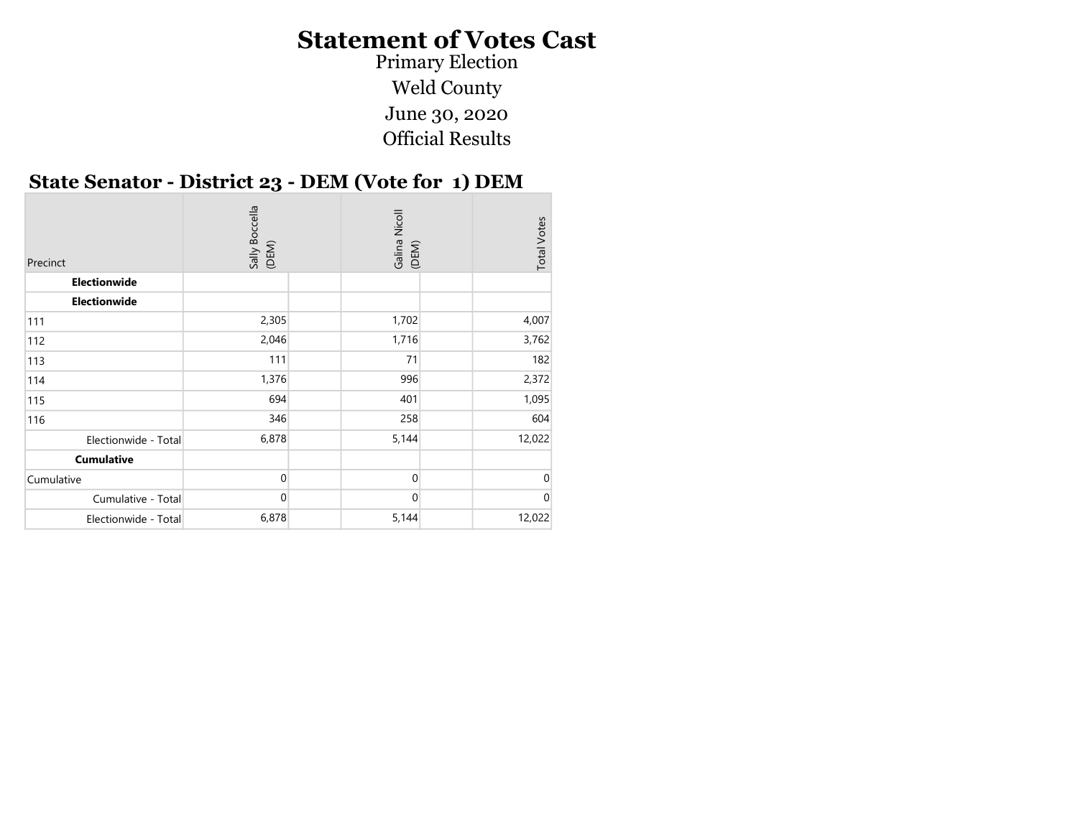Weld County June 30, 2020 Official Results Primary Election

#### State Senator - District 23 - DEM (Vote for 1) DEM

| Precinct             | Sally Boccella<br>(DEM) | Galina Nicoll<br>(DEM) | <b>Total Votes</b> |
|----------------------|-------------------------|------------------------|--------------------|
| Electionwide         |                         |                        |                    |
| Electionwide         |                         |                        |                    |
| 111                  | 2,305                   | 1,702                  | 4,007              |
| 112                  | 2,046                   | 1,716                  | 3,762              |
| 113                  | 111                     | 71                     | 182                |
| 114                  | 1,376                   | 996                    | 2,372              |
| 115                  | 694                     | 401                    | 1,095              |
| 116                  | 346                     | 258                    | 604                |
| Electionwide - Total | 6,878                   | 5,144                  | 12,022             |
| <b>Cumulative</b>    |                         |                        |                    |
| Cumulative           | $\Omega$                | 0                      | 0                  |
| Cumulative - Total   | $\overline{0}$          | $\mathbf 0$            | 0                  |
| Electionwide - Total | 6,878                   | 5,144                  | 12,022             |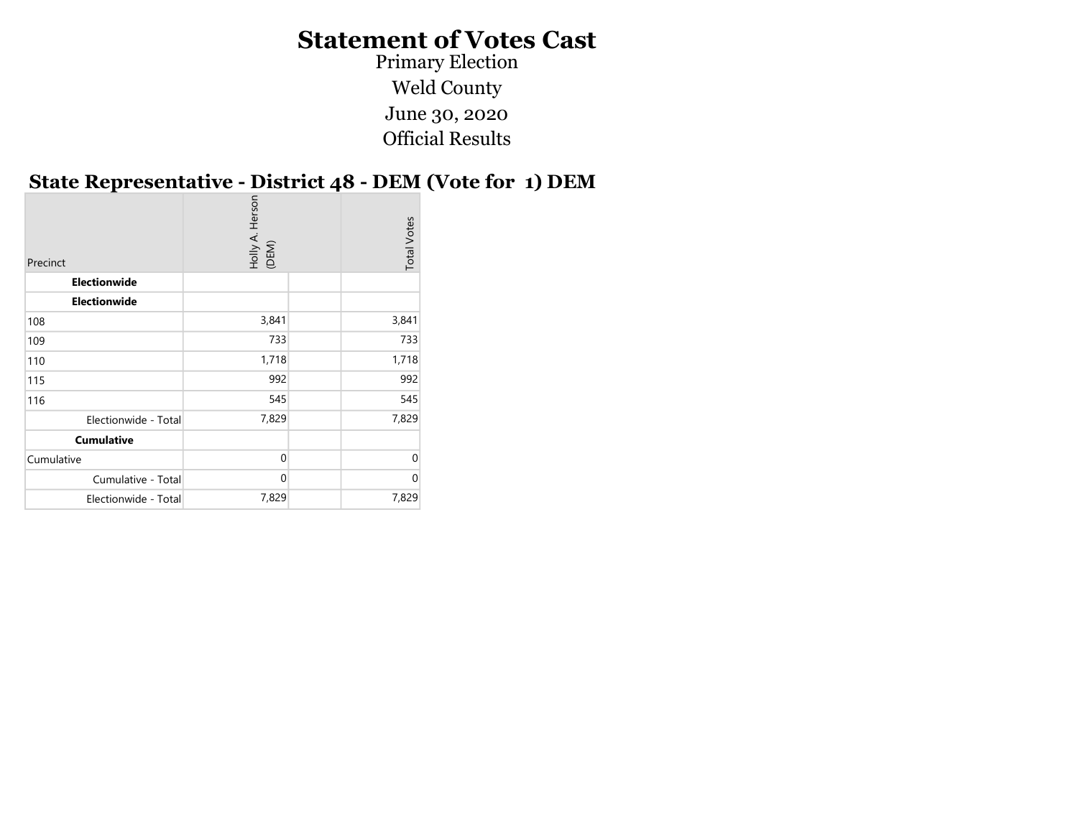Primary Election Weld County June 30, 2020 Official Results

#### State Representative - District 48 - DEM (Vote for 1) DEM

|                                    |                          | <b>Total Votes</b>         |
|------------------------------------|--------------------------|----------------------------|
|                                    |                          |                            |
|                                    |                          |                            |
| 3,841                              |                          | 3,841                      |
|                                    |                          | 733                        |
|                                    |                          | 1,718                      |
|                                    |                          | 992                        |
|                                    |                          | 545                        |
| 7,829<br>Electionwide - Total      |                          | 7,829                      |
|                                    |                          |                            |
| $\mathbf{0}$                       |                          | $\Omega$                   |
| $\mathbf{0}$<br>Cumulative - Total |                          | $\Omega$                   |
| 7,829<br>Electionwide - Total      |                          | 7,829                      |
|                                    | Holly A. Herson<br>(DEM) | 733<br>1,718<br>992<br>545 |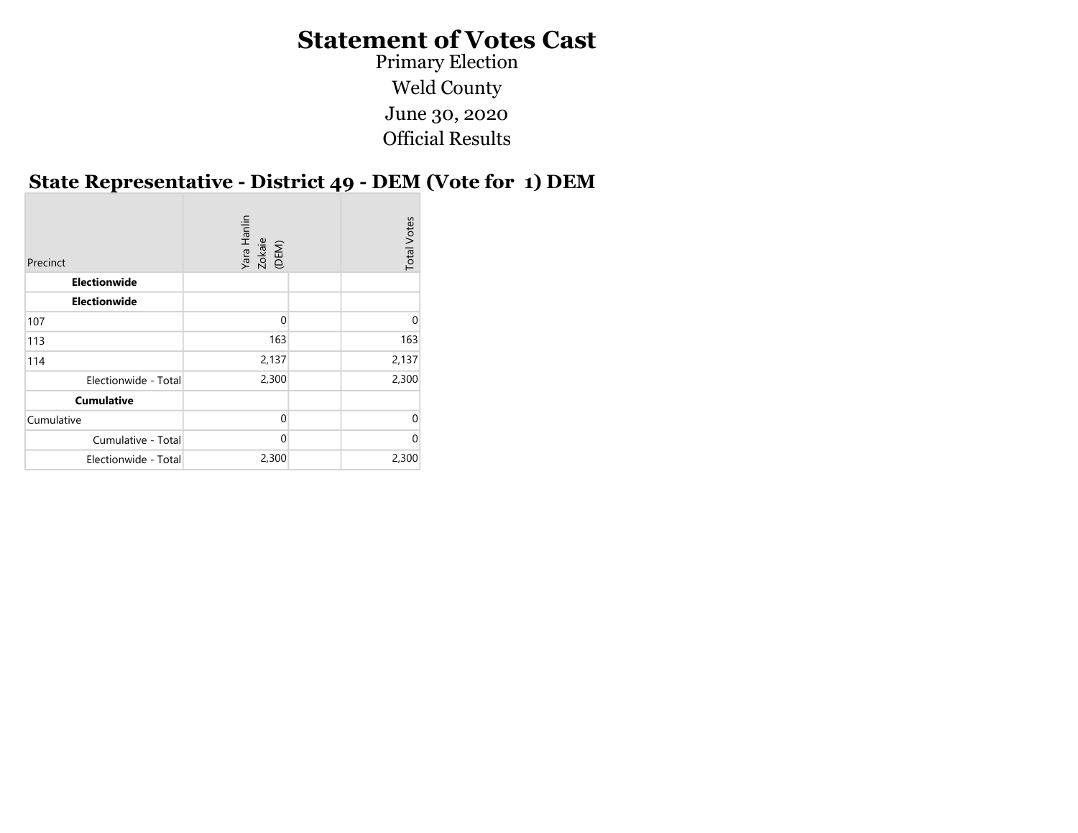Weld County June 30, 2020 Official Results Primary Election

#### State Representative - District 49 - DEM (Vote for 1) DEM

| Precinct             | Yara Hanlin<br>Zokaie<br>(DEM) | <b>Total Votes</b> |
|----------------------|--------------------------------|--------------------|
| <b>Electionwide</b>  |                                |                    |
| <b>Electionwide</b>  |                                |                    |
| 107                  | $\Omega$                       | $\Omega$           |
| 113                  | 163                            | 163                |
| 114                  | 2,137                          | 2,137              |
| Electionwide - Total | 2,300                          | 2,300              |
| <b>Cumulative</b>    |                                |                    |
| Cumulative           | $\Omega$                       | $\Omega$           |
| Cumulative - Total   | $\Omega$                       | $\Omega$           |
| Electionwide - Total | 2,300                          | 2,300              |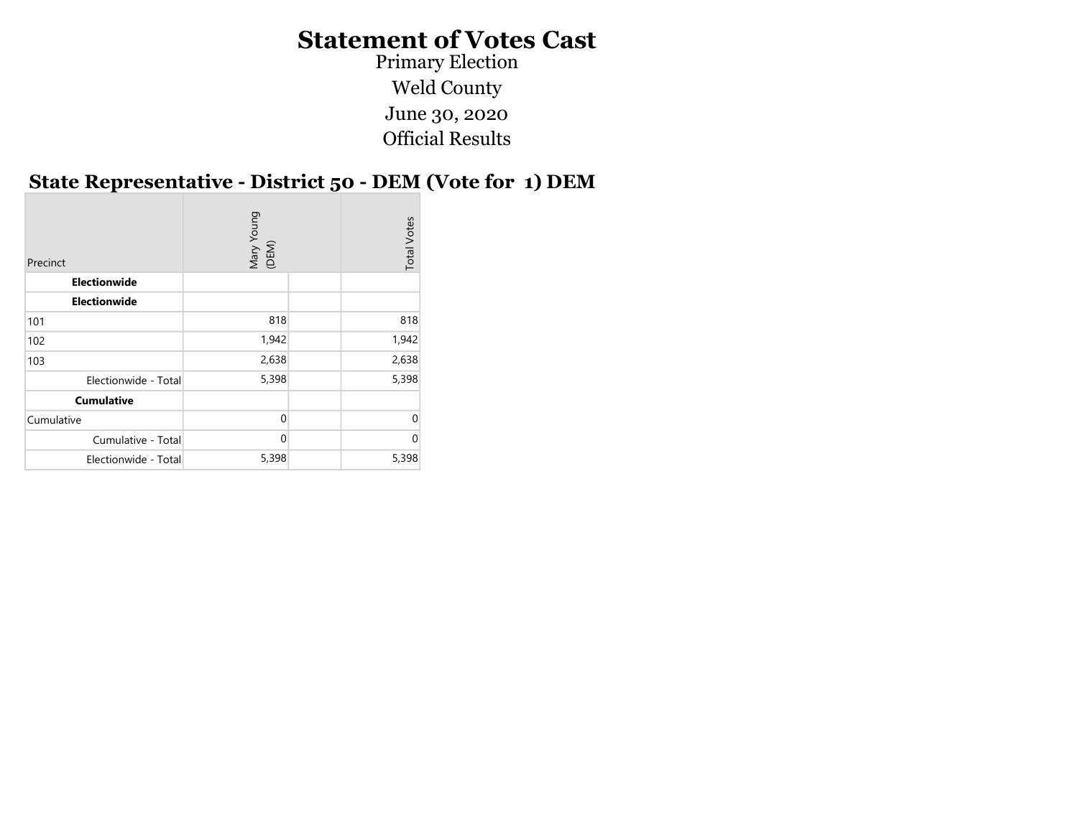Weld County June 30, 2020 Official Results Primary Election

# State Representative - District 50 - DEM (Vote for 1) DEM

| Precinct             | Mary Young<br>(DEM) | <b>Total Votes</b> |
|----------------------|---------------------|--------------------|
| Electionwide         |                     |                    |
| <b>Electionwide</b>  |                     |                    |
| 101                  | 818                 | 818                |
| 102                  | 1,942               | 1,942              |
| 103                  | 2,638               | 2,638              |
| Electionwide - Total | 5,398               | 5,398              |
| <b>Cumulative</b>    |                     |                    |
| Cumulative           | $\Omega$            | $\Omega$           |
| Cumulative - Total   | 0                   | $\Omega$           |
| Electionwide - Total | 5,398               | 5,398              |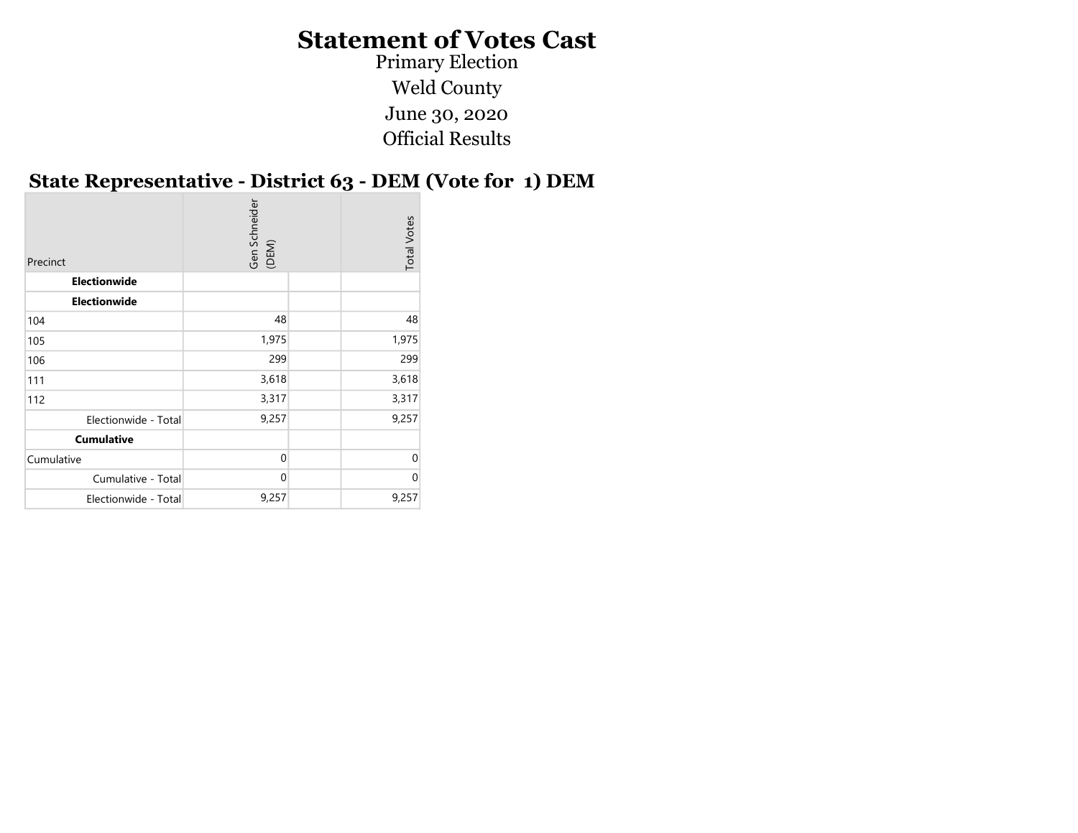Primary Election Weld County June 30, 2020 Official Results

#### State Representative - District 63 - DEM (Vote for 1) DEM

| Gen Schneider<br>(DEM)<br><b>Total Votes</b><br>Precinct |
|----------------------------------------------------------|
| <b>Electionwide</b>                                      |
| <b>Electionwide</b>                                      |
| 48<br>48<br>104                                          |
| 1,975<br>1,975<br>105                                    |
| 299<br>299<br>106                                        |
| 3,618<br>3,618<br>111                                    |
| 3,317<br>3,317<br>112                                    |
| 9,257<br>9,257<br>Electionwide - Total                   |
| <b>Cumulative</b>                                        |
| $\mathbf{0}$<br>$\mathbf 0$<br>Cumulative                |
| $\mathbf{0}$<br>$\Omega$<br>Cumulative - Total           |
| 9,257<br>9,257<br>Electionwide - Total                   |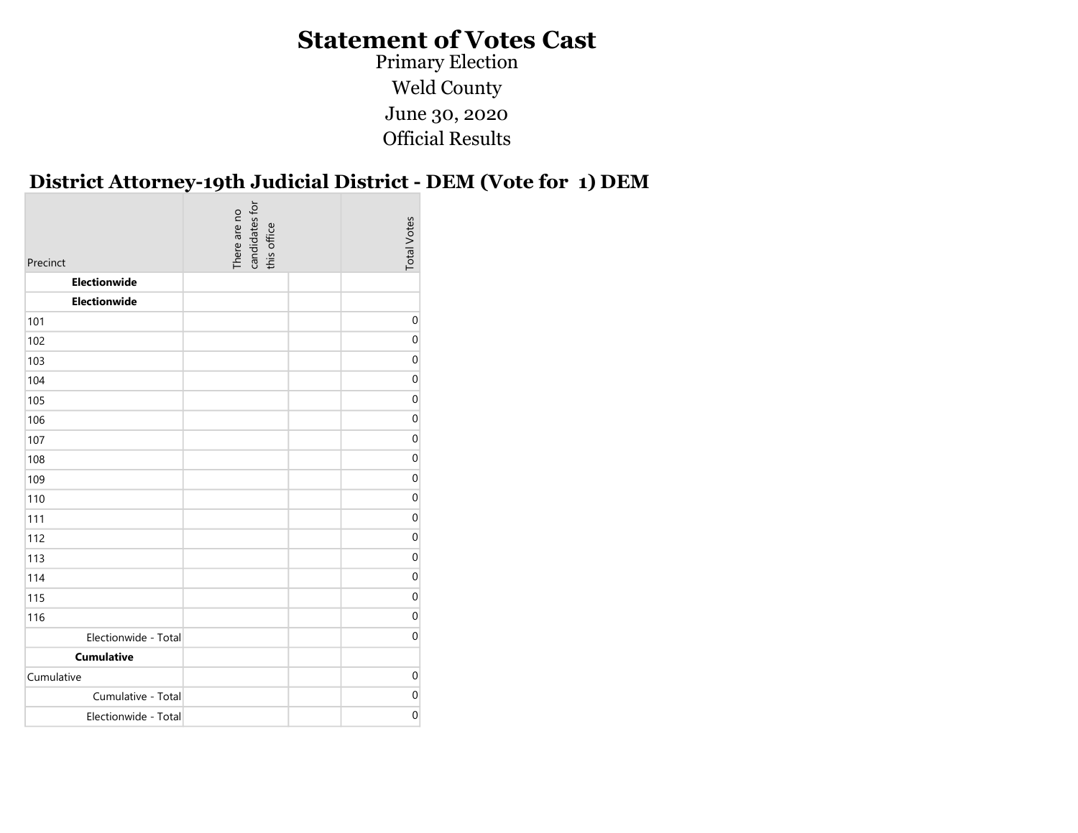Primary Election Weld County June 30, 2020 Official Results

#### District Attorney-19th Judicial District - DEM (Vote for 1) DEM

| Precinct             | candidates for<br>this office<br>There are no | <b>Total Votes</b> |
|----------------------|-----------------------------------------------|--------------------|
| Electionwide         |                                               |                    |
| <b>Electionwide</b>  |                                               |                    |
| 101                  |                                               | 0                  |
| 102                  |                                               | $\pmb{0}$          |
| 103                  |                                               | 0                  |
| 104                  |                                               | 0                  |
| 105                  |                                               | 0                  |
| 106                  |                                               | 0                  |
| 107                  |                                               | 0                  |
| 108                  |                                               | 0                  |
| 109                  |                                               | 0                  |
| 110                  |                                               | 0                  |
| 111                  |                                               | 0                  |
| 112                  |                                               | 0                  |
| 113                  |                                               | 0                  |
| 114                  |                                               | 0                  |
| 115                  |                                               | 0                  |
| 116                  |                                               | $\boldsymbol{0}$   |
| Electionwide - Total |                                               | 0                  |
| <b>Cumulative</b>    |                                               |                    |
| Cumulative           |                                               | 0                  |
| Cumulative - Total   |                                               | $\boldsymbol{0}$   |
| Electionwide - Total |                                               | $\boldsymbol{0}$   |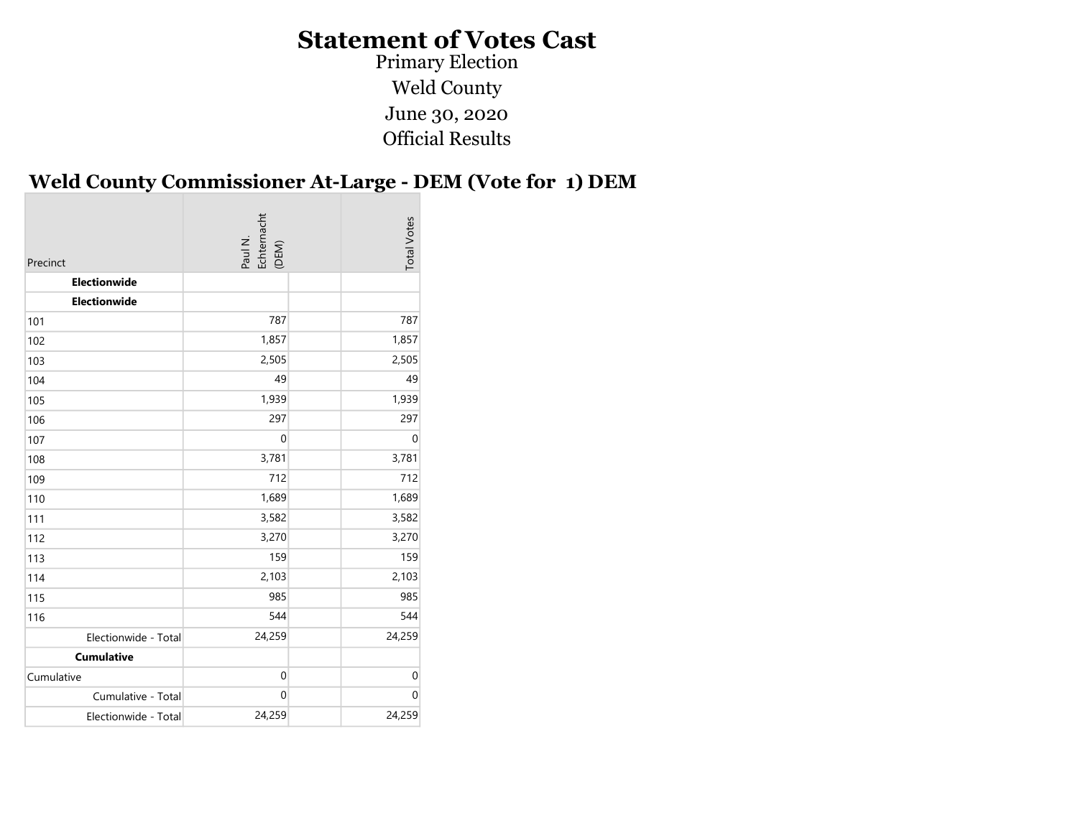Primary Election Weld County June 30, 2020 Official Results

#### Weld County Commissioner At-Large - DEM (Vote for 1) DEM

| Precinct             | Paul N.<br>Echternacht<br>(DEM) | <b>Total Votes</b> |
|----------------------|---------------------------------|--------------------|
| Electionwide         |                                 |                    |
| Electionwide         |                                 |                    |
| 101                  | 787                             | 787                |
| 102                  | 1,857                           | 1,857              |
| 103                  | 2,505                           | 2,505              |
| 104                  | 49                              | 49                 |
| 105                  | 1,939                           | 1,939              |
| 106                  | 297                             | 297                |
| 107                  | $\mathbf 0$                     | $\mathbf 0$        |
| 108                  | 3,781                           | 3,781              |
| 109                  | 712                             | 712                |
| 110                  | 1,689                           | 1,689              |
| 111                  | 3,582                           | 3,582              |
| 112                  | 3,270                           | 3,270              |
| 113                  | 159                             | 159                |
| 114                  | 2,103                           | 2,103              |
| 115                  | 985                             | 985                |
| 116                  | 544                             | 544                |
| Electionwide - Total | 24,259                          | 24,259             |
| <b>Cumulative</b>    |                                 |                    |
| Cumulative           | $\mathbf 0$                     | $\mathbf 0$        |
| Cumulative - Total   | $\mathbf 0$                     | $\mathbf 0$        |
| Electionwide - Total | 24,259                          | 24,259             |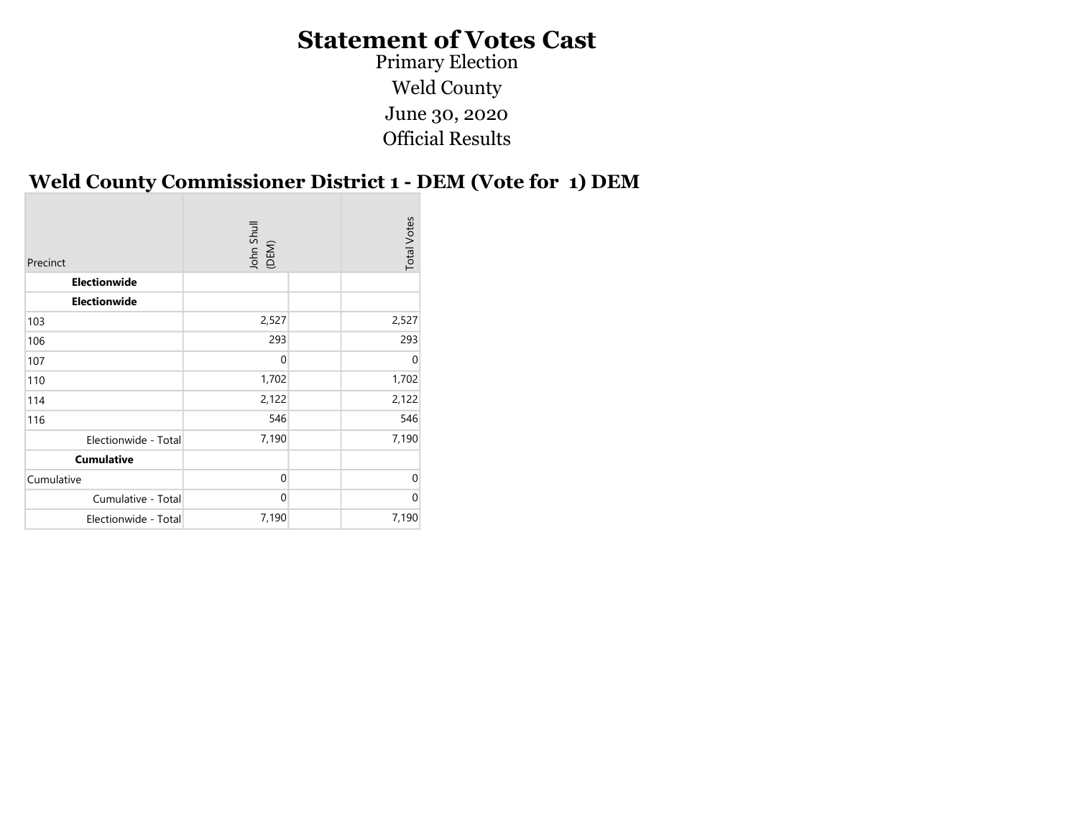Primary Election Weld County June 30, 2020 Official Results

#### Weld County Commissioner District 1 - DEM (Vote for 1) DEM

| Precinct             | John Shull<br>(DEM) | <b>Total Votes</b> |
|----------------------|---------------------|--------------------|
| Electionwide         |                     |                    |
| <b>Electionwide</b>  |                     |                    |
| 103                  | 2,527               | 2,527              |
| 106                  | 293                 | 293                |
| 107                  | $\mathbf 0$         | $\mathbf 0$        |
| 110                  | 1,702               | 1,702              |
| 114                  | 2,122               | 2,122              |
| 116                  | 546                 | 546                |
| Electionwide - Total | 7,190               | 7,190              |
| <b>Cumulative</b>    |                     |                    |
| Cumulative           | $\mathbf 0$         | 0                  |
| Cumulative - Total   | $\mathbf 0$         | $\mathbf 0$        |
| Electionwide - Total | 7,190               | 7,190              |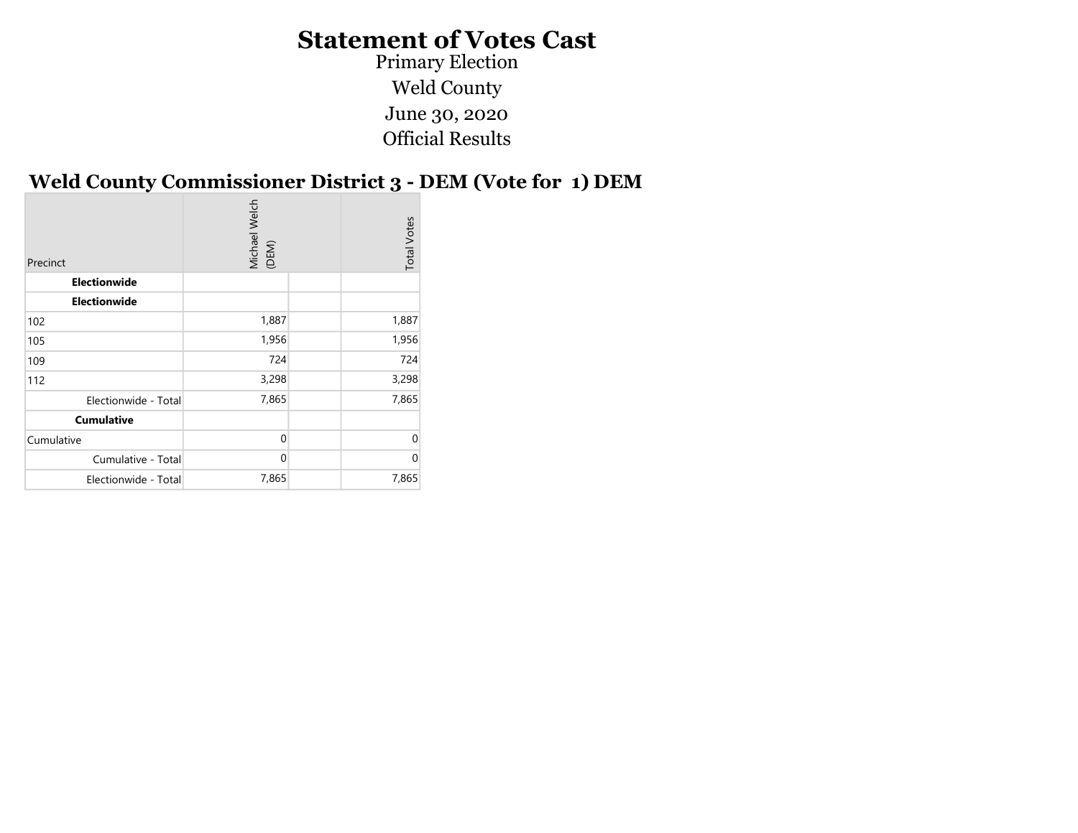Official Results Primary Election Weld County June 30, 2020

#### Weld County Commissioner District 3 - DEM (Vote for 1) DEM

| <b>Electionwide</b><br><b>Electionwide</b><br>1,887<br>1,887<br>102<br>1,956<br>1,956<br>105<br>724<br>724<br>109<br>3,298<br>3,298<br>112<br>7,865<br>7,865<br>Electionwide - Total<br><b>Cumulative</b><br>$\mathbf 0$<br>$\Omega$<br>Cumulative |
|----------------------------------------------------------------------------------------------------------------------------------------------------------------------------------------------------------------------------------------------------|
|                                                                                                                                                                                                                                                    |
|                                                                                                                                                                                                                                                    |
|                                                                                                                                                                                                                                                    |
|                                                                                                                                                                                                                                                    |
|                                                                                                                                                                                                                                                    |
|                                                                                                                                                                                                                                                    |
|                                                                                                                                                                                                                                                    |
|                                                                                                                                                                                                                                                    |
|                                                                                                                                                                                                                                                    |
| $\mathbf{0}$<br>$\Omega$<br>Cumulative - Total                                                                                                                                                                                                     |
| 7,865<br>7,865<br>Electionwide - Total                                                                                                                                                                                                             |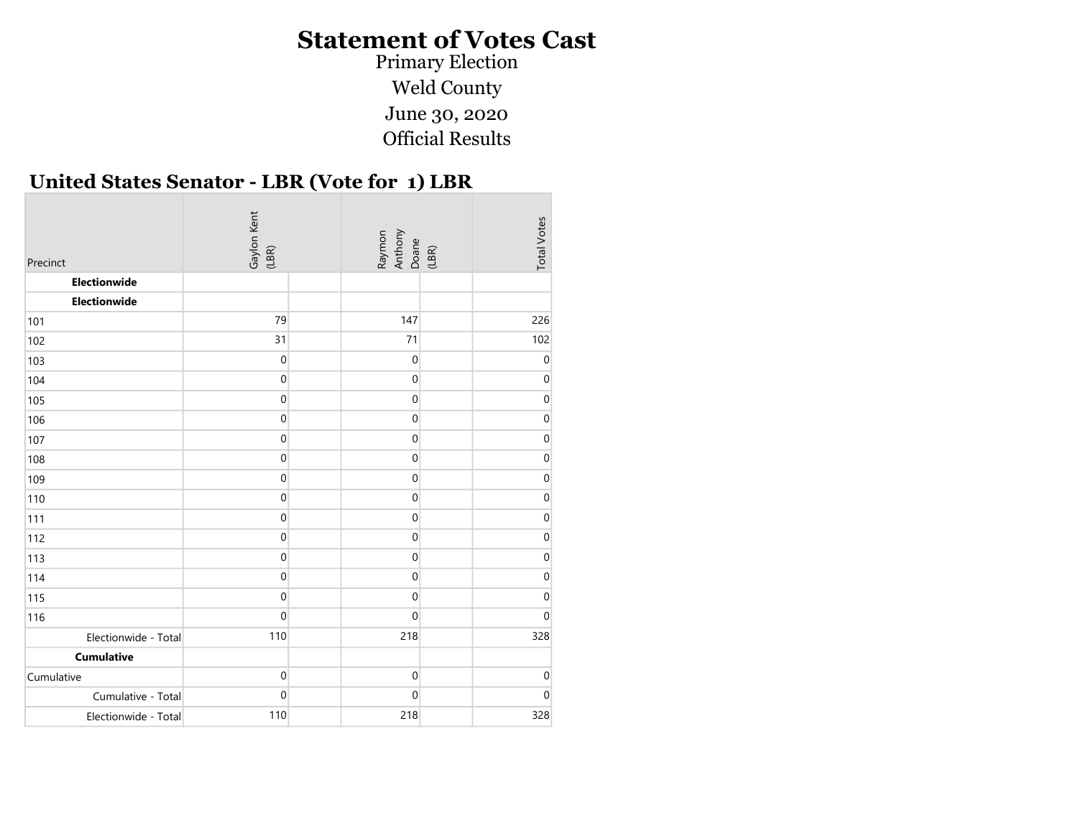Primary Election Weld County June 30, 2020 Official Results

#### United States Senator - LBR (Vote for 1) LBR

| Precinct             | Gaylon Kent<br>(LBR) |  | Raymon<br>Anthony<br>Doane<br>(LBR) |  | <b>Total Votes</b> |
|----------------------|----------------------|--|-------------------------------------|--|--------------------|
| Electionwide         |                      |  |                                     |  |                    |
| Electionwide         |                      |  |                                     |  |                    |
| 101                  | 79                   |  | 147                                 |  | 226                |
| 102                  | 31                   |  | 71                                  |  | 102                |
| 103                  | $\pmb{0}$            |  | $\boldsymbol{0}$                    |  | $\mathbf 0$        |
| 104                  | $\boldsymbol{0}$     |  | $\pmb{0}$                           |  | $\mathbf 0$        |
| 105                  | $\pmb{0}$            |  | 0                                   |  | $\mathbf 0$        |
| 106                  | $\pmb{0}$            |  | 0                                   |  | $\Omega$           |
| 107                  | $\boldsymbol{0}$     |  | $\boldsymbol{0}$                    |  | $\mathbf 0$        |
| 108                  | $\pmb{0}$            |  | 0                                   |  | 0                  |
| 109                  | $\mathbf 0$          |  | $\mathbf 0$                         |  | $\mathbf{0}$       |
| 110                  | $\mathbf 0$          |  | $\mathbf 0$                         |  | 0                  |
| 111                  | $\pmb{0}$            |  | 0                                   |  | 0                  |
| 112                  | $\mathbf 0$          |  | 0                                   |  | 0                  |
| 113                  | $\pmb{0}$            |  | 0                                   |  | 0                  |
| 114                  | $\boldsymbol{0}$     |  | $\mathbf 0$                         |  | $\mathbf 0$        |
| 115                  | $\mathbf 0$          |  | 0                                   |  | $\mathbf{0}$       |
| 116                  | $\boldsymbol{0}$     |  | $\pmb{0}$                           |  | $\mathbf{0}$       |
| Electionwide - Total | 110                  |  | 218                                 |  | 328                |
| <b>Cumulative</b>    |                      |  |                                     |  |                    |
| Cumulative           | $\boldsymbol{0}$     |  | $\boldsymbol{0}$                    |  | $\boldsymbol{0}$   |
| Cumulative - Total   | $\pmb{0}$            |  | 0                                   |  | $\mathbf{0}$       |
| Electionwide - Total | 110                  |  | 218                                 |  | 328                |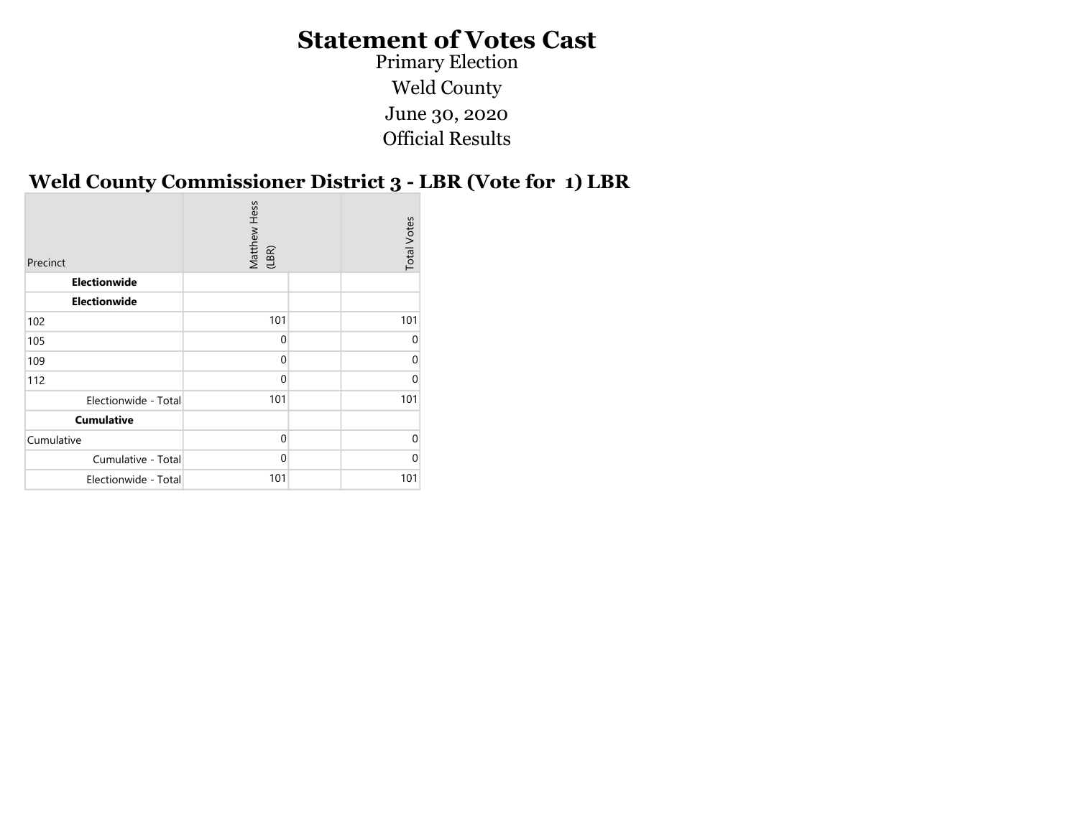Official Results Primary Election Weld County June 30, 2020

#### Weld County Commissioner District 3 - LBR (Vote for 1) LBR

|              |                       | <b>Total Votes</b> |
|--------------|-----------------------|--------------------|
|              |                       |                    |
|              |                       |                    |
| 101          |                       | 101                |
| $\mathbf 0$  |                       | 0                  |
| $\mathbf{0}$ |                       | $\Omega$           |
| $\Omega$     |                       | $\Omega$           |
| 101          |                       | 101                |
|              |                       |                    |
| $\Omega$     |                       | $\Omega$           |
| $\Omega$     |                       | $\Omega$           |
| 101          |                       | 101                |
|              | Matthew Hess<br>(LBR) |                    |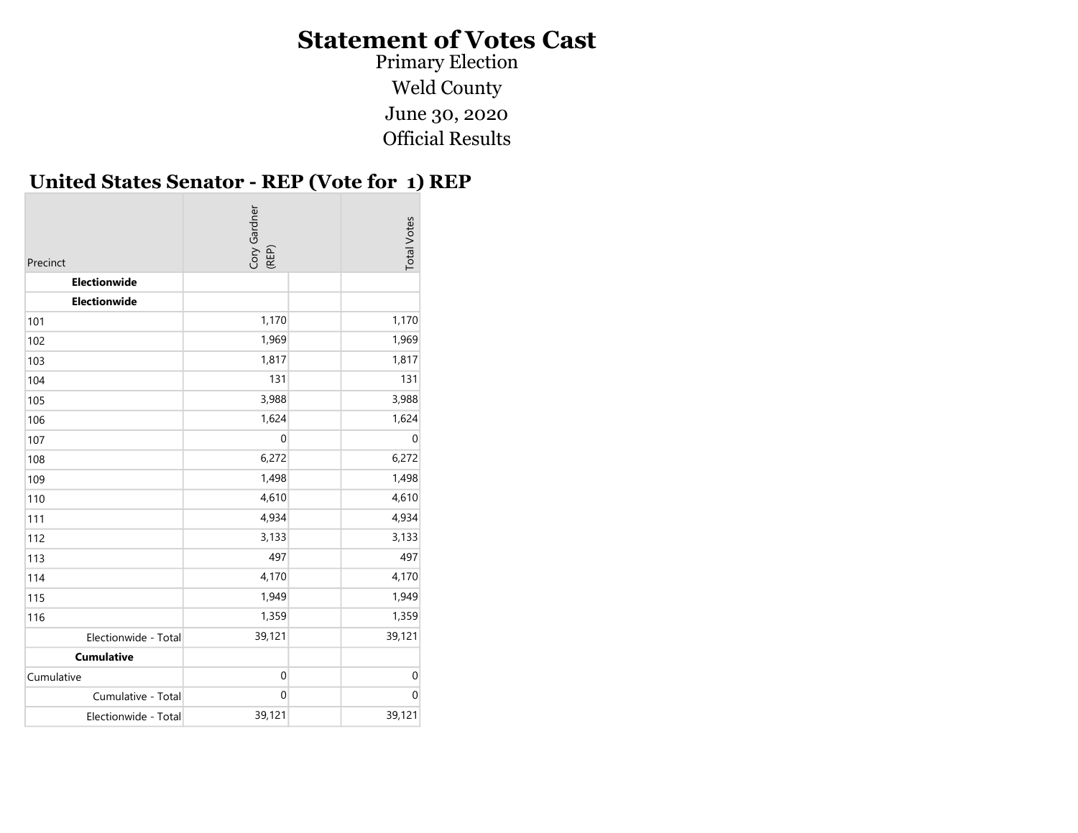Primary Election Weld County June 30, 2020 Official Results

#### United States Senator - REP (Vote for 1) REP

| Precinct             | Cory Gardner<br>(REP) | <b>Total Votes</b> |
|----------------------|-----------------------|--------------------|
| Electionwide         |                       |                    |
| Electionwide         |                       |                    |
| 101                  | 1,170                 | 1,170              |
| 102                  | 1,969                 | 1,969              |
| 103                  | 1,817                 | 1,817              |
| 104                  | 131                   | 131                |
| 105                  | 3,988                 | 3,988              |
| 106                  | 1,624                 | 1,624              |
| 107                  | $\mathbf 0$           | $\boldsymbol{0}$   |
| 108                  | 6,272                 | 6,272              |
| 109                  | 1,498                 | 1,498              |
| 110                  | 4,610                 | 4,610              |
| 111                  | 4,934                 | 4,934              |
| 112                  | 3,133                 | 3,133              |
| 113                  | 497                   | 497                |
| 114                  | 4,170                 | 4,170              |
| 115                  | 1,949                 | 1,949              |
| 116                  | 1,359                 | 1,359              |
| Electionwide - Total | 39,121                | 39,121             |
| <b>Cumulative</b>    |                       |                    |
| Cumulative           | $\mathbf 0$           | $\mathbf 0$        |
| Cumulative - Total   | $\mathbf 0$           | $\mathbf 0$        |
| Electionwide - Total | 39,121                | 39,121             |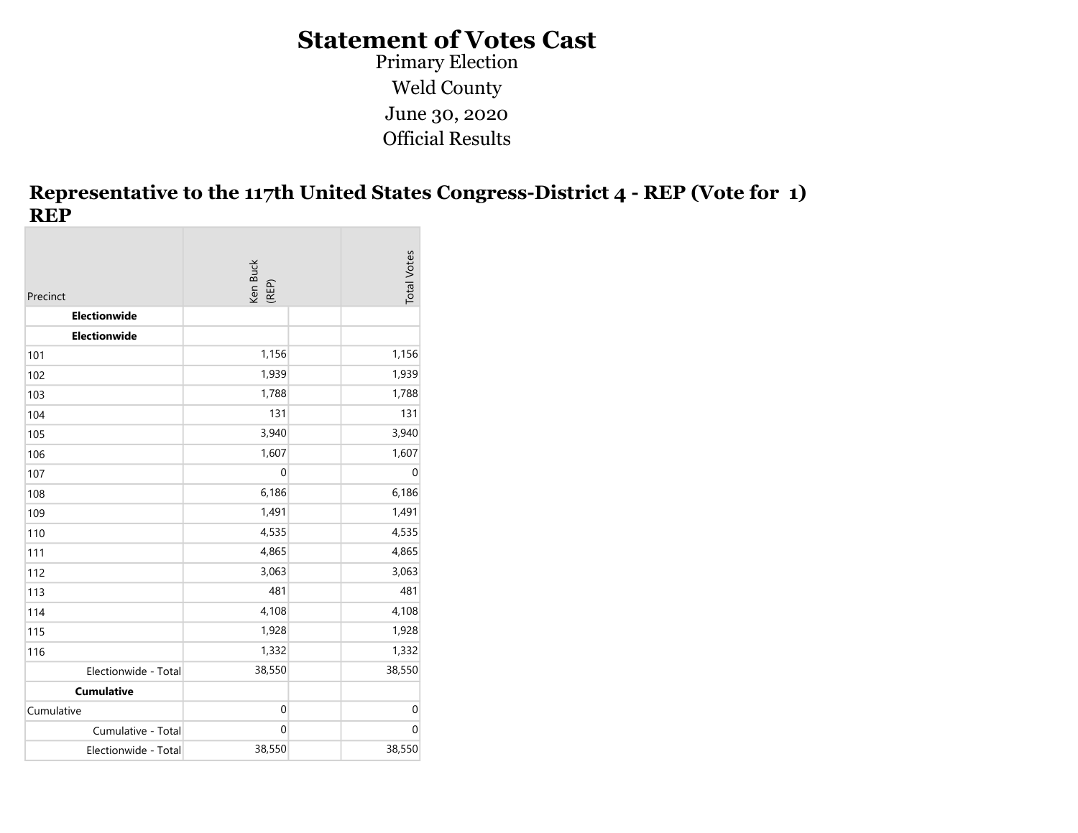Primary Election Weld County June 30, 2020 Official Results

#### Representative to the 117th United States Congress-District 4 - REP (Vote for 1) REP

| Precinct             | Ken Buck<br>(REP) | <b>Total Votes</b> |
|----------------------|-------------------|--------------------|
| Electionwide         |                   |                    |
| Electionwide         |                   |                    |
| 101                  | 1,156             | 1,156              |
| 102                  | 1,939             | 1,939              |
| 103                  | 1,788             | 1,788              |
| 104                  | 131               | 131                |
| 105                  | 3,940             | 3,940              |
| 106                  | 1,607             | 1,607              |
| 107                  | $\mathbf 0$       | $\mathbf 0$        |
| 108                  | 6,186             | 6,186              |
| 109                  | 1,491             | 1,491              |
| 110                  | 4,535             | 4,535              |
| 111                  | 4,865             | 4,865              |
| 112                  | 3,063             | 3,063              |
| 113                  | 481               | 481                |
| 114                  | 4,108             | 4,108              |
| 115                  | 1,928             | 1,928              |
| 116                  | 1,332             | 1,332              |
| Electionwide - Total | 38,550            | 38,550             |
| <b>Cumulative</b>    |                   |                    |
| Cumulative           | $\boldsymbol{0}$  | $\mathbf 0$        |
| Cumulative - Total   | $\boldsymbol{0}$  | $\mathbf 0$        |
| Electionwide - Total | 38,550            | 38,550             |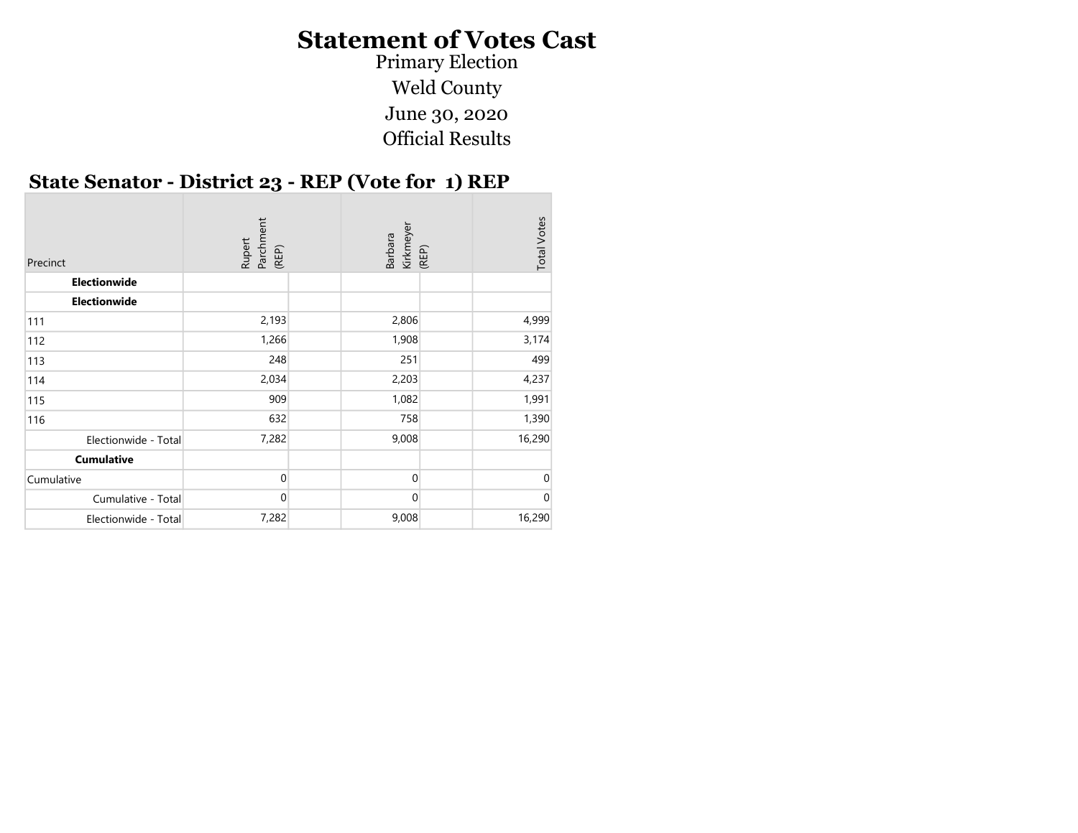Primary Election Weld County June 30, 2020 Official Results

#### State Senator - District 23 - REP (Vote for 1) REP

| Precinct             | Parchment<br>(REP)<br>Rupert | Kirkmeyer<br><b>Barbara</b> | (REP) | <b>Total Votes</b> |
|----------------------|------------------------------|-----------------------------|-------|--------------------|
| Electionwide         |                              |                             |       |                    |
| Electionwide         |                              |                             |       |                    |
| 111                  | 2,193                        | 2,806                       |       | 4,999              |
| 112                  | 1,266                        | 1,908                       |       | 3,174              |
| 113                  | 248                          | 251                         |       | 499                |
| 114                  | 2,034                        | 2,203                       |       | 4,237              |
| 115                  | 909                          | 1,082                       |       | 1,991              |
| 116                  | 632                          | 758                         |       | 1,390              |
| Electionwide - Total | 7,282                        | 9,008                       |       | 16,290             |
| <b>Cumulative</b>    |                              |                             |       |                    |
| Cumulative           | $\Omega$                     | 0                           |       |                    |
| Cumulative - Total   | $\overline{0}$               | $\mathbf 0$                 |       | 0                  |
| Electionwide - Total | 7,282                        | 9,008                       |       | 16,290             |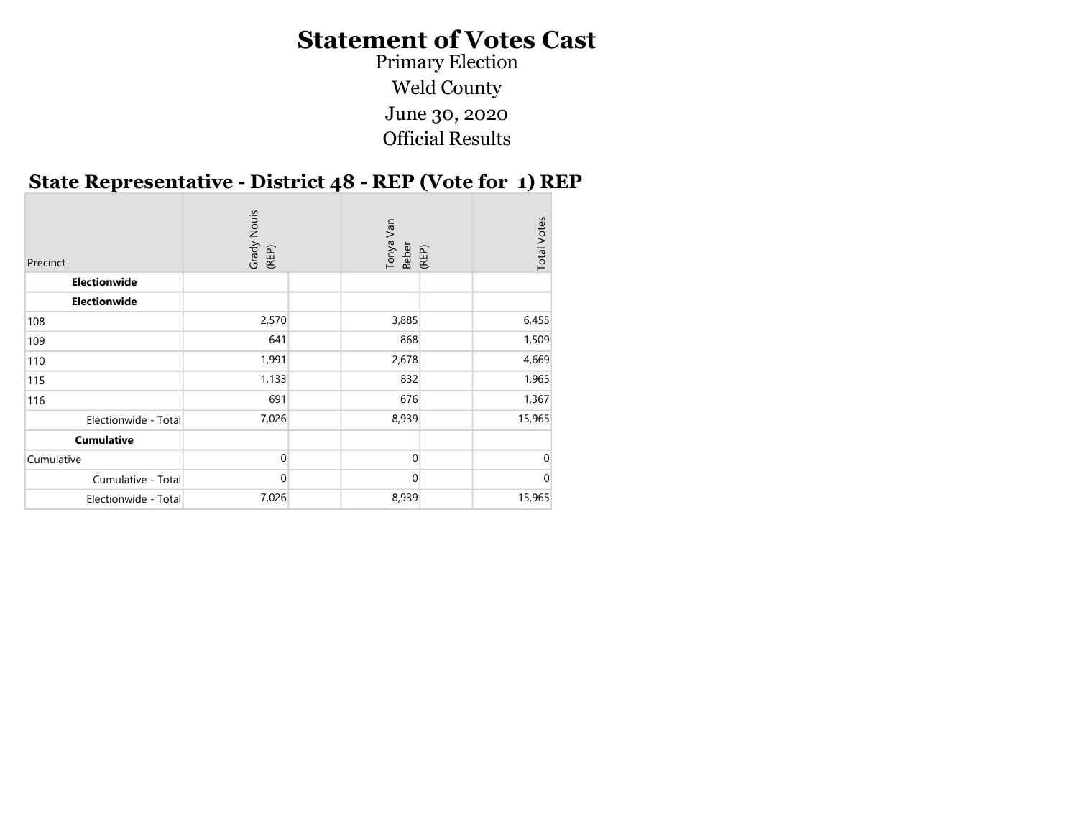Primary Election Weld County June 30, 2020 Official Results

#### State Representative - District 48 - REP (Vote for 1) REP

| Precinct             | Grady Nouis<br>(REP) | Van<br>Tonya<br>Beber<br>(REP) | <b>Total Votes</b> |
|----------------------|----------------------|--------------------------------|--------------------|
| <b>Electionwide</b>  |                      |                                |                    |
| <b>Electionwide</b>  |                      |                                |                    |
| 108                  | 2,570                | 3,885                          | 6,455              |
| 109                  | 641                  | 868                            | 1,509              |
| 110                  | 1,991                | 2,678                          | 4,669              |
| 115                  | 1,133                | 832                            | 1,965              |
| 116                  | 691                  | 676                            | 1,367              |
| Electionwide - Total | 7,026                | 8,939                          | 15,965             |
| <b>Cumulative</b>    |                      |                                |                    |
| Cumulative           | $\Omega$             | $\Omega$                       | U                  |
| Cumulative - Total   | $\mathbf 0$          | $\mathbf 0$                    |                    |
| Electionwide - Total | 7,026                | 8,939                          | 15,965             |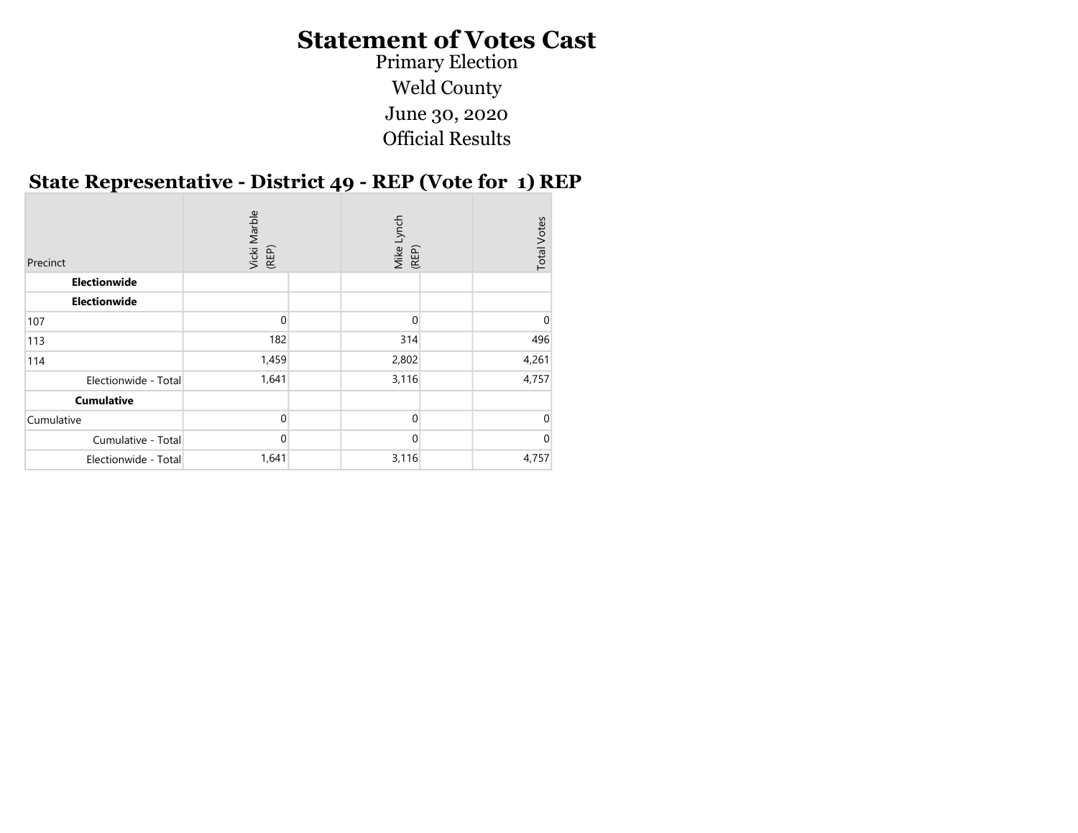June 30, 2020 Official Results Primary Election Weld County

#### State Representative - District 49 - REP (Vote for 1) REP

| Precinct             | Vicki Marble<br>(REP) | Lynch<br>Mike I<br>(REP) | <b>Total Votes</b> |
|----------------------|-----------------------|--------------------------|--------------------|
| Electionwide         |                       |                          |                    |
| Electionwide         |                       |                          |                    |
| 107                  |                       | 0                        |                    |
| 113                  | 182                   | 314                      | 496                |
| 114                  | 1,459                 | 2,802                    | 4,261              |
| Electionwide - Total | 1,641                 | 3,116                    | 4,757              |
| <b>Cumulative</b>    |                       |                          |                    |
| Cumulative           | ∩                     | $\Omega$                 |                    |
| Cumulative - Total   | $\Omega$              | $\Omega$                 |                    |
| Electionwide - Total | 1,641                 | 3,116                    | 4,757              |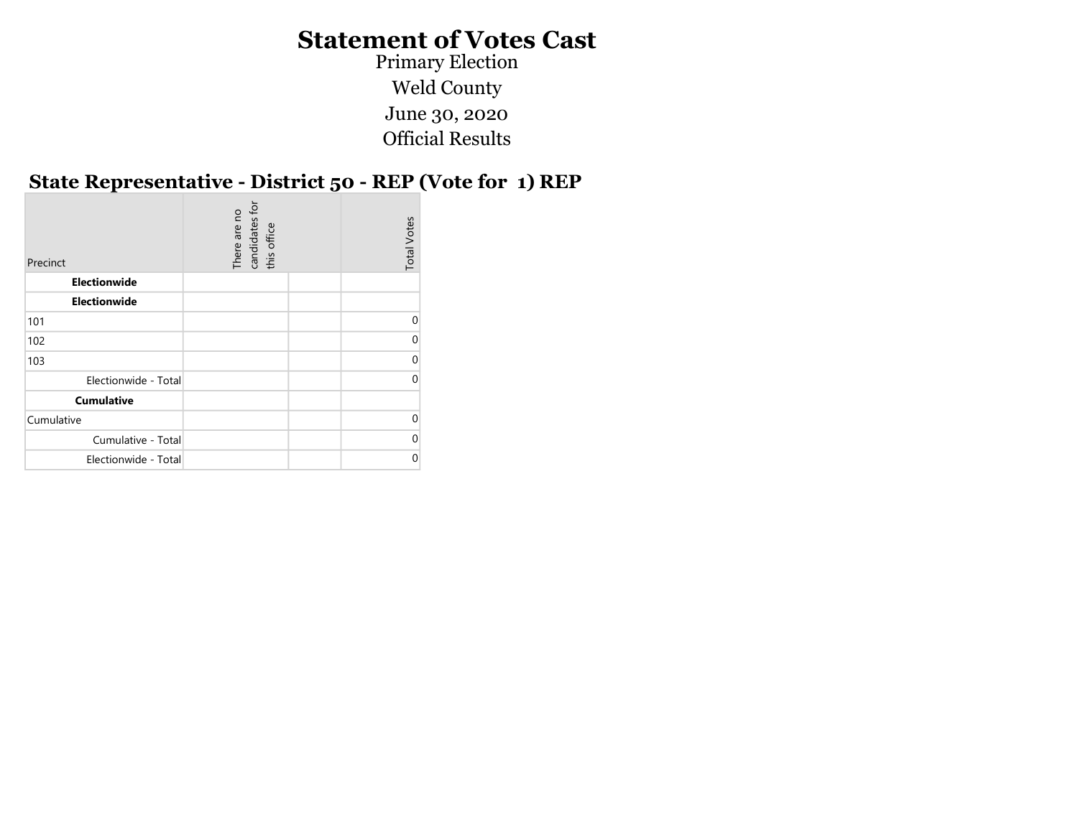Primary Election Weld County June 30, 2020 Official Results

#### State Representative - District 50 - REP (Vote for 1) REP

| Precinct             | for<br>There are no<br>candidates 1<br>this office | <b>Total Votes</b> |
|----------------------|----------------------------------------------------|--------------------|
| Electionwide         |                                                    |                    |
| Electionwide         |                                                    |                    |
| 101                  |                                                    | $\Omega$           |
| 102                  |                                                    | 0                  |
| 103                  |                                                    | $\Omega$           |
| Electionwide - Total |                                                    | $\Omega$           |
| <b>Cumulative</b>    |                                                    |                    |
| Cumulative           |                                                    | $\Omega$           |
| Cumulative - Total   |                                                    | $\Omega$           |
| Electionwide - Total |                                                    | 0                  |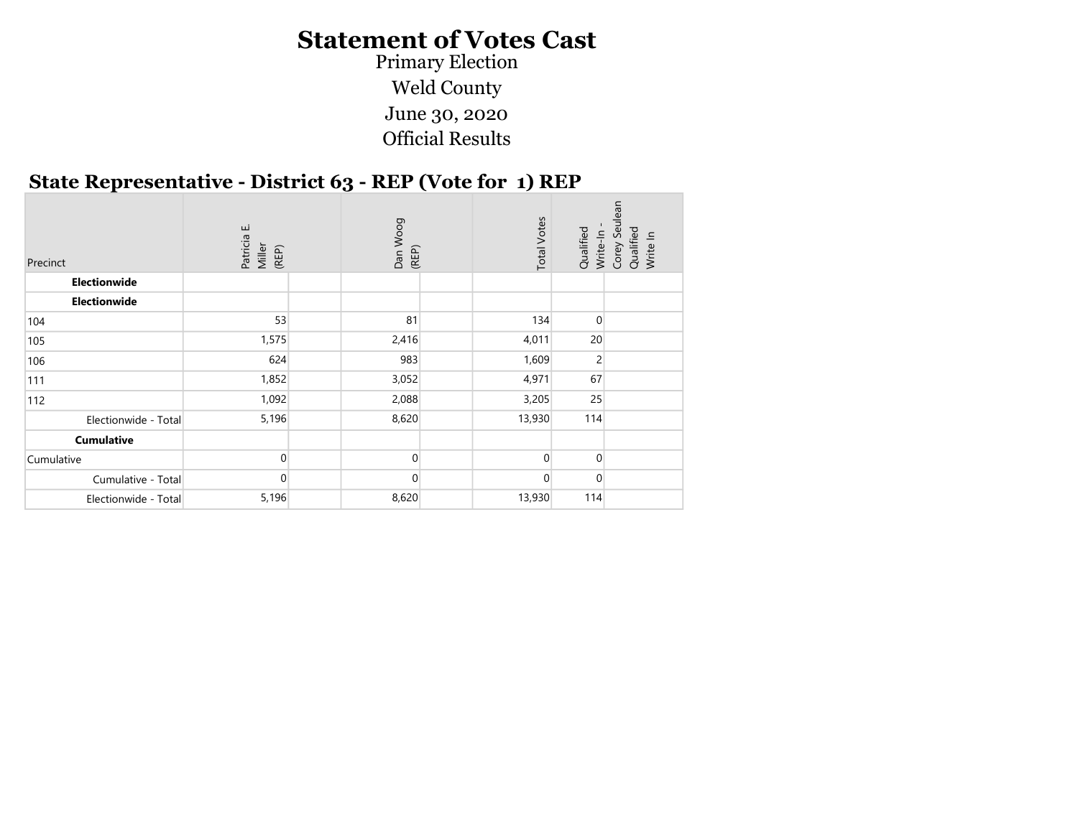Primary Election Weld County June 30, 2020 Official Results

#### State Representative - District 63 - REP (Vote for 1) REP

| Precinct<br>Electionwide | Patricia E.<br>Miller<br>(REP) | Dan Woog<br>(REP) | <b>Total Votes</b> | Qualified<br>Write-In | Seul<br>Corey Seu<br>Qualified<br>Write In |
|--------------------------|--------------------------------|-------------------|--------------------|-----------------------|--------------------------------------------|
| Electionwide             |                                |                   |                    |                       |                                            |
|                          |                                |                   |                    |                       |                                            |
| 104                      | 53                             | 81                | 134                | $\mathbf 0$           |                                            |
| 105                      | 1,575                          | 2,416             | 4,011              | 20                    |                                            |
| 106                      | 624                            | 983               | 1,609              | $\overline{2}$        |                                            |
| 111                      | 1,852                          | 3,052             | 4,971              | 67                    |                                            |
| 112                      | 1,092                          | 2,088             | 3,205              | 25                    |                                            |
| Electionwide - Total     | 5,196                          | 8,620             | 13,930             | 114                   |                                            |
| <b>Cumulative</b>        |                                |                   |                    |                       |                                            |
| Cumulative               | $\Omega$                       | 0                 | $\Omega$           | $\mathbf{0}$          |                                            |
| Cumulative - Total       | $\mathbf{0}$                   | $\Omega$          | $\Omega$           | $\overline{0}$        |                                            |
| Electionwide - Total     | 5,196                          | 8,620             | 13,930             | 114                   |                                            |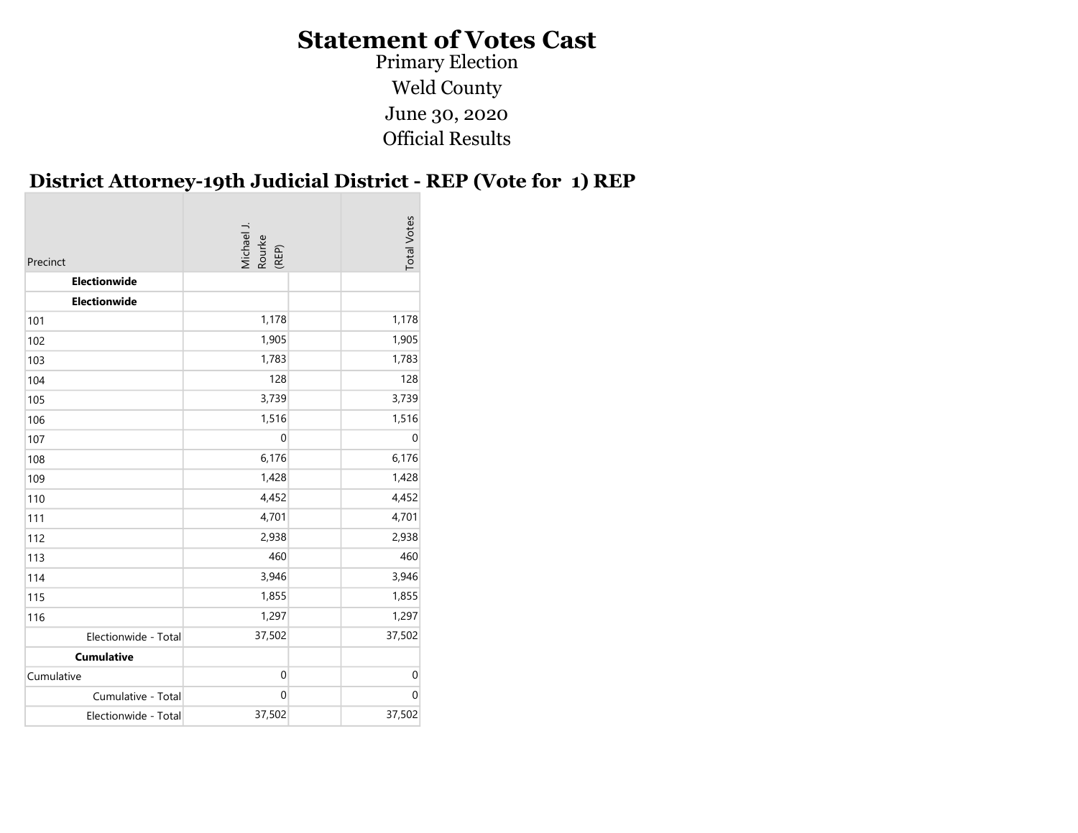Primary Election Weld County June 30, 2020 Official Results

#### District Attorney-19th Judicial District - REP (Vote for 1) REP

| Precinct             | Michael J.<br>Rourke<br>(REP) | <b>Total Votes</b> |
|----------------------|-------------------------------|--------------------|
| Electionwide         |                               |                    |
| Electionwide         |                               |                    |
| 101                  | 1,178                         | 1,178              |
| 102                  | 1,905                         | 1,905              |
| 103                  | 1,783                         | 1,783              |
| 104                  | 128                           | 128                |
| 105                  | 3,739                         | 3,739              |
| 106                  | 1,516                         | 1,516              |
| 107                  | $\boldsymbol{0}$              | $\mathbf 0$        |
| 108                  | 6,176                         | 6,176              |
| 109                  | 1,428                         | 1,428              |
| 110                  | 4,452                         | 4,452              |
| 111                  | 4,701                         | 4,701              |
| 112                  | 2,938                         | 2,938              |
| 113                  | 460                           | 460                |
| 114                  | 3,946                         | 3,946              |
| 115                  | 1,855                         | 1,855              |
| 116                  | 1,297                         | 1,297              |
| Electionwide - Total | 37,502                        | 37,502             |
| <b>Cumulative</b>    |                               |                    |
| Cumulative           | $\boldsymbol{0}$              | $\boldsymbol{0}$   |
| Cumulative - Total   | $\mathbf 0$                   | $\mathbf 0$        |
| Electionwide - Total | 37,502                        | 37,502             |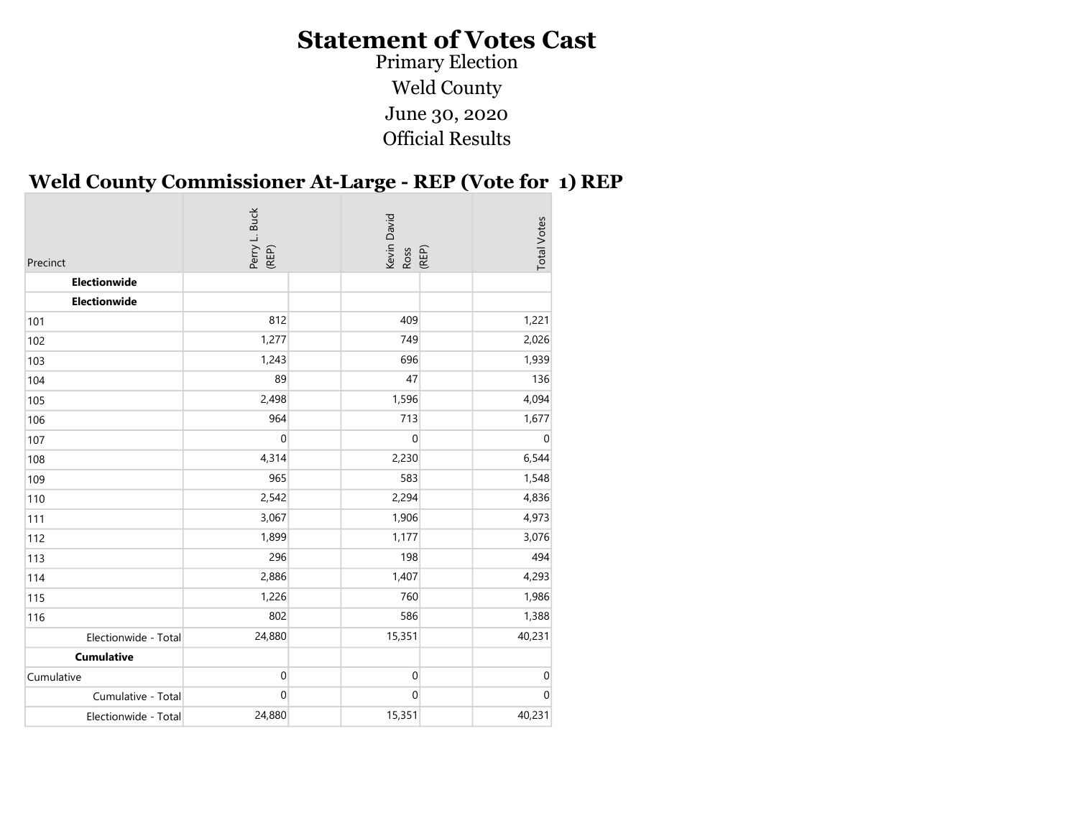Primary Election Weld County June 30, 2020 Official Results

#### Weld County Commissioner At-Large - REP (Vote for 1) REP

| Precinct             | Perry L. Buck<br>(REP) | Kevin David<br>Ross<br>(REP) | <b>Total Votes</b> |
|----------------------|------------------------|------------------------------|--------------------|
| Electionwide         |                        |                              |                    |
| Electionwide         |                        |                              |                    |
| 101                  | 812                    | 409                          | 1,221              |
| 102                  | 1,277                  | 749                          | 2,026              |
| 103                  | 1,243                  | 696                          | 1,939              |
| 104                  | 89                     | 47                           | 136                |
| 105                  | 2,498                  | 1,596                        | 4,094              |
| 106                  | 964                    | 713                          | 1,677              |
| 107                  | $\boldsymbol{0}$       | $\mathbf 0$                  | $\mathbf 0$        |
| 108                  | 4,314                  | 2,230                        | 6,544              |
| 109                  | 965                    | 583                          | 1,548              |
| 110                  | 2,542                  | 2,294                        | 4,836              |
| 111                  | 3,067                  | 1,906                        | 4,973              |
| 112                  | 1,899                  | 1,177                        | 3,076              |
| 113                  | 296                    | 198                          | 494                |
| 114                  | 2,886                  | 1,407                        | 4,293              |
| 115                  | 1,226                  | 760                          | 1,986              |
| 116                  | 802                    | 586                          | 1,388              |
| Electionwide - Total | 24,880                 | 15,351                       | 40,231             |
| <b>Cumulative</b>    |                        |                              |                    |
| Cumulative           | $\pmb{0}$              | $\boldsymbol{0}$             | $\mathbf 0$        |
| Cumulative - Total   | $\mathbf 0$            | 0                            | $\Omega$           |
| Electionwide - Total | 24,880                 | 15,351                       | 40,231             |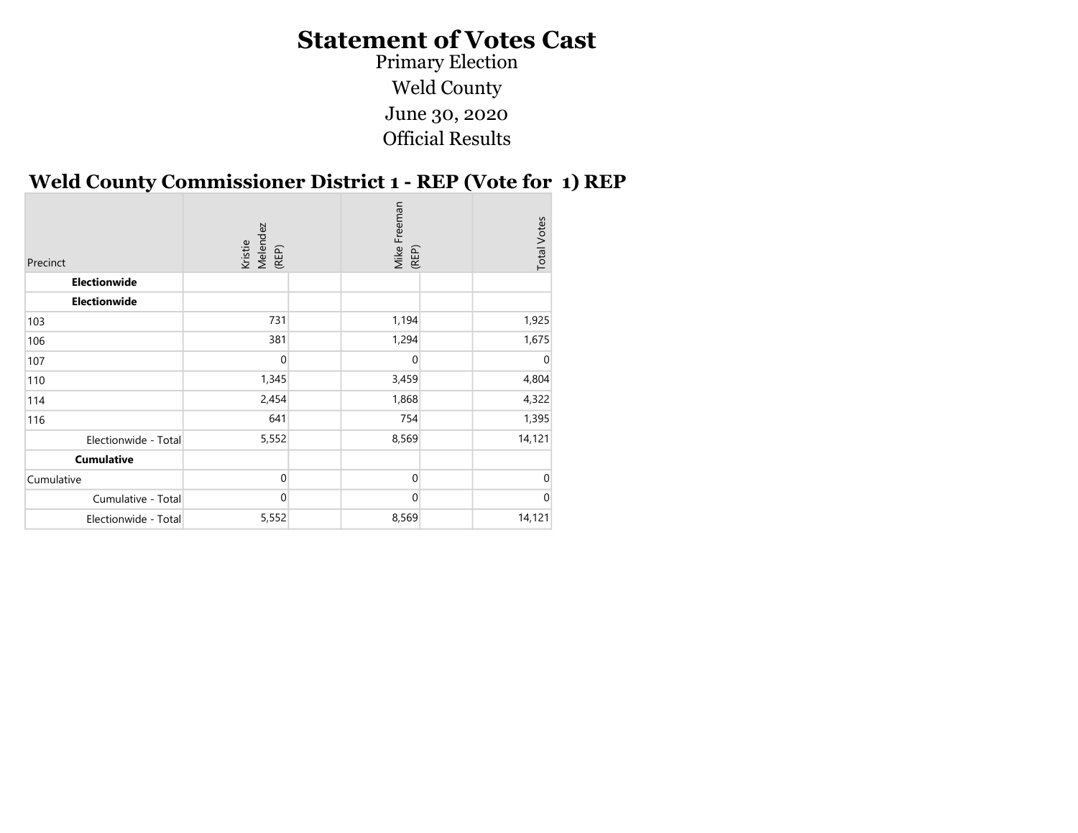Primary Election Weld County June 30, 2020 Official Results

#### Weld County Commissioner District 1 - REP (Vote for 1) REP

| Precinct             | Melendez<br>(REP)<br>Kristie | Mike Freeman<br>(REP) | <b>Total Votes</b> |
|----------------------|------------------------------|-----------------------|--------------------|
| Electionwide         |                              |                       |                    |
| <b>Electionwide</b>  |                              |                       |                    |
| 103                  | 731                          | 1,194                 | 1,925              |
| 106                  | 381                          | 1,294                 | 1,675              |
| 107                  | $\mathbf{0}$                 | 0                     | 0                  |
| 110                  | 1,345                        | 3,459                 | 4,804              |
| 114                  | 2,454                        | 1,868                 | 4,322              |
| 116                  | 641                          | 754                   | 1,395              |
| Electionwide - Total | 5,552                        | 8,569                 | 14,121             |
| <b>Cumulative</b>    |                              |                       |                    |
| Cumulative           | $\mathbf{0}$                 | 0                     | 0                  |
| Cumulative - Total   | $\overline{0}$               | $\mathbf{0}$          | 0                  |
| Electionwide - Total | 5,552                        | 8,569                 | 14,121             |